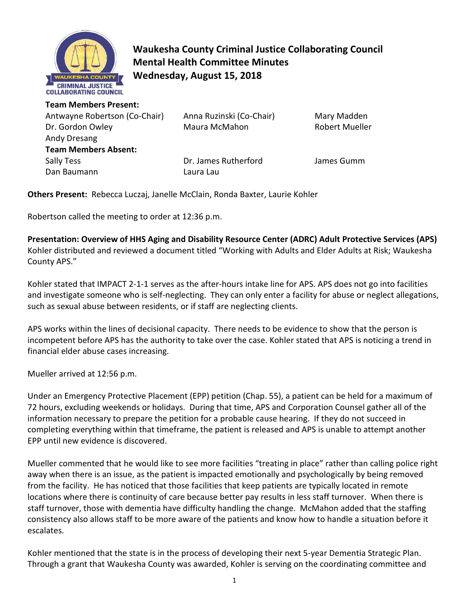

**Waukesha County Criminal Justice Collaborating Council Mental Health Committee Minutes Wednesday, August 15, 2018** 

**Team Members Present:**  Antwayne Robertson (Co-Chair) Anna Ruzinski (Co-Chair) Mary Madden Dr. Gordon Owley **Maura McMahon** Robert Mueller Andy Dresang **Team Members Absent:** Sally Tess Dr. James Rutherford James Gumm Dan Baumann Laura Lau

**Others Present:** Rebecca Luczaj, Janelle McClain, Ronda Baxter, Laurie Kohler

Robertson called the meeting to order at 12:36 p.m.

**Presentation: Overview of HHS Aging and Disability Resource Center (ADRC) Adult Protective Services (APS)**  Kohler distributed and reviewed a document titled "Working with Adults and Elder Adults at Risk; Waukesha County APS."

Kohler stated that IMPACT 2-1-1 serves as the after-hours intake line for APS. APS does not go into facilities and investigate someone who is self-neglecting. They can only enter a facility for abuse or neglect allegations, such as sexual abuse between residents, or if staff are neglecting clients.

APS works within the lines of decisional capacity. There needs to be evidence to show that the person is incompetent before APS has the authority to take over the case. Kohler stated that APS is noticing a trend in financial elder abuse cases increasing.

Mueller arrived at 12:56 p.m.

Under an Emergency Protective Placement (EPP) petition (Chap. 55), a patient can be held for a maximum of 72 hours, excluding weekends or holidays. During that time, APS and Corporation Counsel gather all of the information necessary to prepare the petition for a probable cause hearing. If they do not succeed in completing everything within that timeframe, the patient is released and APS is unable to attempt another EPP until new evidence is discovered.

Mueller commented that he would like to see more facilities "treating in place" rather than calling police right away when there is an issue, as the patient is impacted emotionally and psychologically by being removed from the facility. He has noticed that those facilities that keep patients are typically located in remote locations where there is continuity of care because better pay results in less staff turnover. When there is staff turnover, those with dementia have difficulty handling the change. McMahon added that the staffing consistency also allows staff to be more aware of the patients and know how to handle a situation before it escalates.

Kohler mentioned that the state is in the process of developing their next 5-year Dementia Strategic Plan. Through a grant that Waukesha County was awarded, Kohler is serving on the coordinating committee and